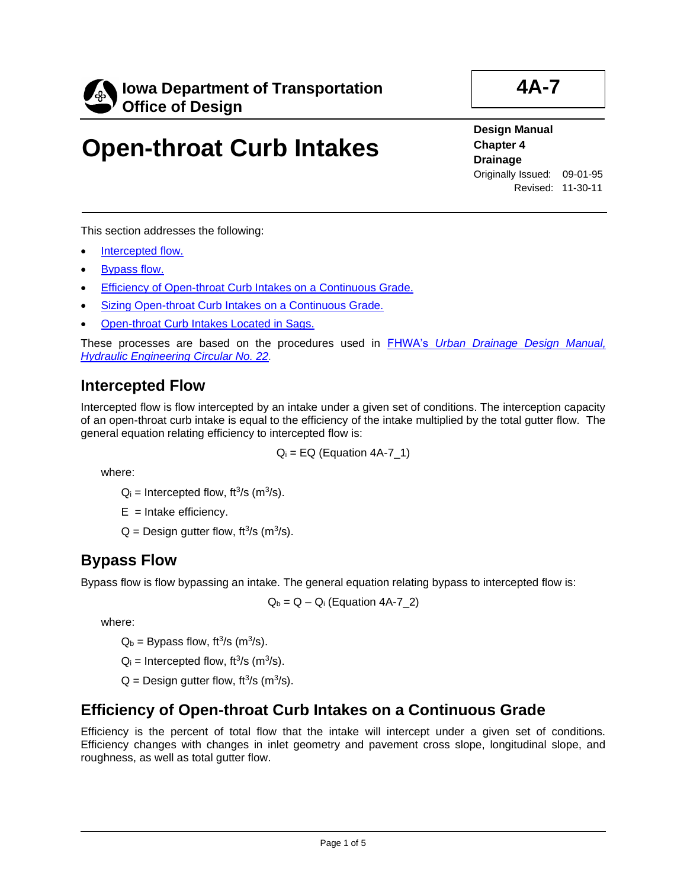

**4A-7**

# **Open-throat Curb Intakes**

**Design Manual Chapter 4 Drainage** Originally Issued: 09-01-95 Revised: 11-30-11

This section addresses the following:

- [Intercepted flow.](#page-0-0)
- [Bypass flow.](#page-0-1)
- [Efficiency of Open-throat Curb Intakes on a Continuous Grade.](#page-0-2)
- [Sizing Open-throat Curb Intakes on a Continuous Grade.](#page-1-0)
- [Open-throat Curb Intakes Located in Sags.](#page-3-0)

These processes are based on the procedures used in FHWA's *[Urban Drainage Design Manual,](http://www.fhwa.dot.gov/engineering/hydraulics/pubs/10009/10009.pdf)  [Hydraulic Engineering Circular No. 22.](http://www.fhwa.dot.gov/engineering/hydraulics/pubs/10009/10009.pdf)*

#### <span id="page-0-0"></span>**Intercepted Flow**

Intercepted flow is flow intercepted by an intake under a given set of conditions. The interception capacity of an open-throat curb intake is equal to the efficiency of the intake multiplied by the total gutter flow. The general equation relating efficiency to intercepted flow is:

 $Q_i = EQ (Equation 4A-7 1)$ 

where:

 $Q_i$  = Intercepted flow, ft<sup>3</sup>/s (m<sup>3</sup>/s).

 $E =$  Intake efficiency.

 $Q =$  Design gutter flow, ft<sup>3</sup>/s (m<sup>3</sup>/s).

#### <span id="page-0-1"></span>**Bypass Flow**

Bypass flow is flow bypassing an intake. The general equation relating bypass to intercepted flow is:

 $Q_b = Q - Q_i$  (Equation 4A-7\_2)

where:

 $Q_b$  = Bypass flow, ft<sup>3</sup>/s (m<sup>3</sup>/s).

 $Q_i$  = Intercepted flow, ft<sup>3</sup>/s (m<sup>3</sup>/s).

 $Q =$  Design gutter flow, ft<sup>3</sup>/s (m<sup>3</sup>/s).

#### <span id="page-0-2"></span>**Efficiency of Open-throat Curb Intakes on a Continuous Grade**

Efficiency is the percent of total flow that the intake will intercept under a given set of conditions. Efficiency changes with changes in inlet geometry and pavement cross slope, longitudinal slope, and roughness, as well as total gutter flow.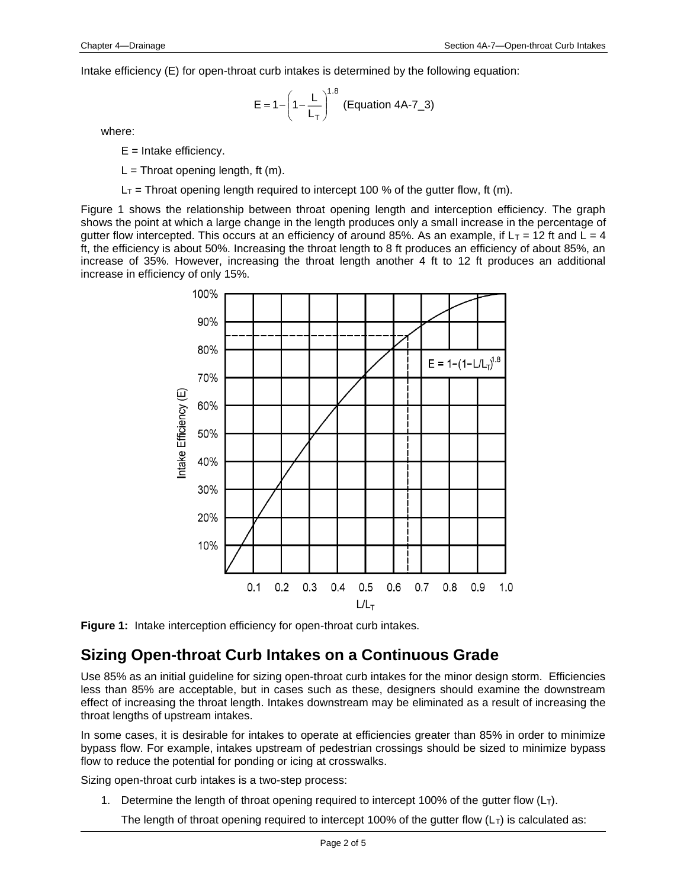Intake efficiency (E) for open-throat curb intakes is determined by the following equation:

$$
E = 1 - \left(1 - \frac{L}{L_T}\right)^{1.8}
$$
 (Equation 4A-7\_3)

where:

- $E =$  Intake efficiency.
- $L = Throat opening length, ft(m)$ .
- $L_T$  = Throat opening length required to intercept 100 % of the gutter flow, ft (m).

Figure 1 shows the relationship between throat opening length and interception efficiency. The graph shows the point at which a large change in the length produces only a small increase in the percentage of gutter flow intercepted. This occurs at an efficiency of around 85%. As an example, if  $L_T = 12$  ft and  $\overline{L} = 4$ ft, the efficiency is about 50%. Increasing the throat length to 8 ft produces an efficiency of about 85%, an increase of 35%. However, increasing the throat length another 4 ft to 12 ft produces an additional increase in efficiency of only 15%.





#### <span id="page-1-0"></span>**Sizing Open-throat Curb Intakes on a Continuous Grade**

Use 85% as an initial guideline for sizing open-throat curb intakes for the minor design storm. Efficiencies less than 85% are acceptable, but in cases such as these, designers should examine the downstream effect of increasing the throat length. Intakes downstream may be eliminated as a result of increasing the throat lengths of upstream intakes.

In some cases, it is desirable for intakes to operate at efficiencies greater than 85% in order to minimize bypass flow. For example, intakes upstream of pedestrian crossings should be sized to minimize bypass flow to reduce the potential for ponding or icing at crosswalks.

Sizing open-throat curb intakes is a two-step process:

1. Determine the length of throat opening required to intercept 100% of the gutter flow  $(L<sub>T</sub>)$ .

The length of throat opening required to intercept 100% of the gutter flow  $(L<sub>T</sub>)$  is calculated as: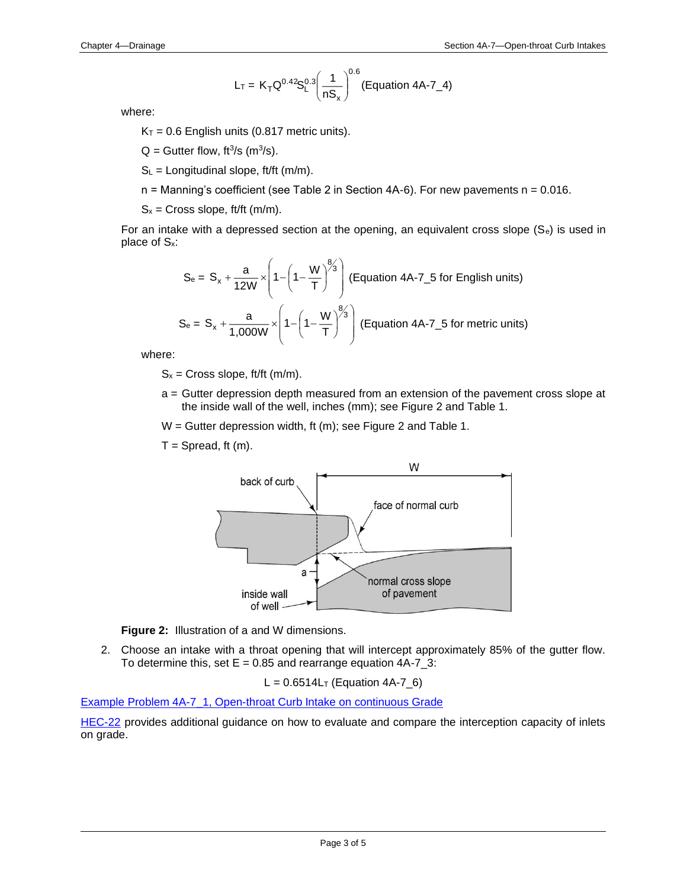$$
L_T = K_T Q^{0.42} S_L^{0.3} \left(\frac{1}{n S_x}\right)^{0.6}
$$
 (Equation 4A-7\_4)

where:

 $K_T = 0.6$  English units (0.817 metric units).

 $Q = G$ utter flow, ft<sup>3</sup>/s (m<sup>3</sup>/s).

 $S_L$  = Longitudinal slope, ft/ft (m/m).

 $n =$  Manning's coefficient (see Table 2 in Section 4A-6). For new pavements  $n = 0.016$ .

 $S_x =$  Cross slope, ft/ft (m/m).

For an intake with a depressed section at the opening, an equivalent cross slope  $(S_e)$  is used in place of Sx:

$$
S_e = S_x + \frac{a}{12W} \times \left(1 - \left(1 - \frac{W}{T}\right)^{8/3}\right)
$$
 (Equation 4A-7\_5 for English units)  

$$
S_e = S_x + \frac{a}{1,000W} \times \left(1 - \left(1 - \frac{W}{T}\right)^{8/3}\right)
$$
 (Equation 4A-7\_5 for metric units)

where:

 $S_x =$  Cross slope, ft/ft (m/m).

a = Gutter depression depth measured from an extension of the pavement cross slope at the inside wall of the well, inches (mm); see Figure 2 and Table 1.

W = Gutter depression width, ft (m); see Figure 2 and Table 1.

 $T =$  Spread, ft  $(m)$ .



**Figure 2:** Illustration of a and W dimensions.

2. Choose an intake with a throat opening that will intercept approximately 85% of the gutter flow. To determine this, set  $E = 0.85$  and rearrange equation  $4A-7=3$ :

$$
L = 0.6514L_T
$$
 (Equation 4A-7\_6)

[Example Problem 4A-7\\_1, Open-throat Curb Intake on continuous Grade](04a-07/Example_1_4A_7.pdf)

[HEC-22](http://www.fhwa.dot.gov/engineering/hydraulics/pubs/10009/10009.pdf) provides additional guidance on how to evaluate and compare the interception capacity of inlets on grade.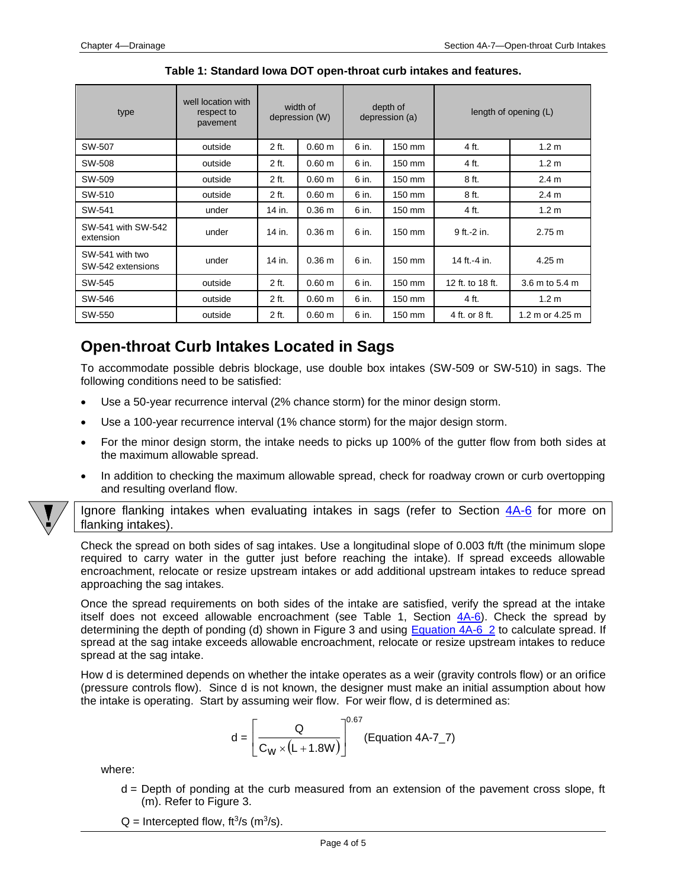| type                                 | well location with<br>respect to<br>pavement | width of<br>depression (W) |                   | depth of<br>depression (a) |        | length of opening (L) |                   |
|--------------------------------------|----------------------------------------------|----------------------------|-------------------|----------------------------|--------|-----------------------|-------------------|
| SW-507                               | outside                                      | 2 ft.                      | $0.60 \text{ m}$  | 6 in.                      | 150 mm | 4 ft.                 | 1.2 <sub>m</sub>  |
| SW-508                               | outside                                      | 2 ft.                      | 0.60 <sub>m</sub> | 6 in.                      | 150 mm | 4 ft.                 | 1.2 <sub>m</sub>  |
| SW-509                               | outside                                      | 2 ft.                      | 0.60 m            | 6 in.                      | 150 mm | 8 ft.                 | 2.4 <sub>m</sub>  |
| SW-510                               | outside                                      | 2 ft.                      | 0.60 m            | 6 in.                      | 150 mm | 8 ft.                 | 2.4 <sub>m</sub>  |
| SW-541                               | under                                        | 14 in.                     | 0.36 m            | 6 in.                      | 150 mm | 4 ft.                 | 1.2 <sub>m</sub>  |
| SW-541 with SW-542<br>extension      | under                                        | 14 in.                     | 0.36 m            | 6 in.                      | 150 mm | 9 ft.-2 in.           | 2.75 m            |
| SW-541 with two<br>SW-542 extensions | under                                        | 14 in.                     | 0.36 m            | 6 in.                      | 150 mm | 14 ft.-4 in.          | 4.25 m            |
| SW-545                               | outside                                      | 2 ft.                      | 0.60 <sub>m</sub> | 6 in.                      | 150 mm | 12 ft. to 18 ft.      | 3.6 m to 5.4 m    |
| SW-546                               | outside                                      | 2 ft.                      | 0.60 m            | 6 in.                      | 150 mm | 4 ft.                 | 1.2 <sub>m</sub>  |
| SW-550                               | outside                                      | 2 ft.                      | 0.60 m            | 6 in.                      | 150 mm | 4 ft. or 8 ft.        | 1.2 m or $4.25$ m |

**Table 1: Standard Iowa DOT open-throat curb intakes and features.**

### <span id="page-3-0"></span>**Open-throat Curb Intakes Located in Sags**

To accommodate possible debris blockage, use double box intakes (SW-509 or SW-510) in sags. The following conditions need to be satisfied:

- Use a 50-year recurrence interval (2% chance storm) for the minor design storm.
- Use a 100-year recurrence interval (1% chance storm) for the major design storm.
- For the minor design storm, the intake needs to picks up 100% of the gutter flow from both sides at the maximum allowable spread.
- In addition to checking the maximum allowable spread, check for roadway crown or curb overtopping and resulting overland flow.

Ignore flanking intakes when evaluating intakes in sags (refer to Section  $4A-6$  for more on flanking intakes).

Check the spread on both sides of sag intakes. Use a longitudinal slope of 0.003 ft/ft (the minimum slope required to carry water in the gutter just before reaching the intake). If spread exceeds allowable encroachment, relocate or resize upstream intakes or add additional upstream intakes to reduce spread approaching the sag intakes.

Once the spread requirements on both sides of the intake are satisfied, verify the spread at the intake itself does not exceed allowable encroachment (see Table 1, Section  $4A-6$ ). Check the spread by determining the depth of ponding (d) shown in Figure 3 and using [Equation 4A-6\\_2](04a-06.pdf) to calculate spread. If spread at the sag intake exceeds allowable encroachment, relocate or resize upstream intakes to reduce spread at the sag intake.

How d is determined depends on whether the intake operates as a weir (gravity controls flow) or an orifice (pressure controls flow). Since d is not known, the designer must make an initial assumption about how the intake is operating. Start by assuming weir flow. For weir flow, d is determined as:

$$
d = \left[\frac{Q}{C_W \times (L + 1.8W)}\right]^{0.67}
$$
 (Equation 4A-7\_7)

where:

d = Depth of ponding at the curb measured from an extension of the pavement cross slope, ft (m). Refer to Figure 3.

 $Q =$  Intercepted flow, ft<sup>3</sup>/s (m<sup>3</sup>/s).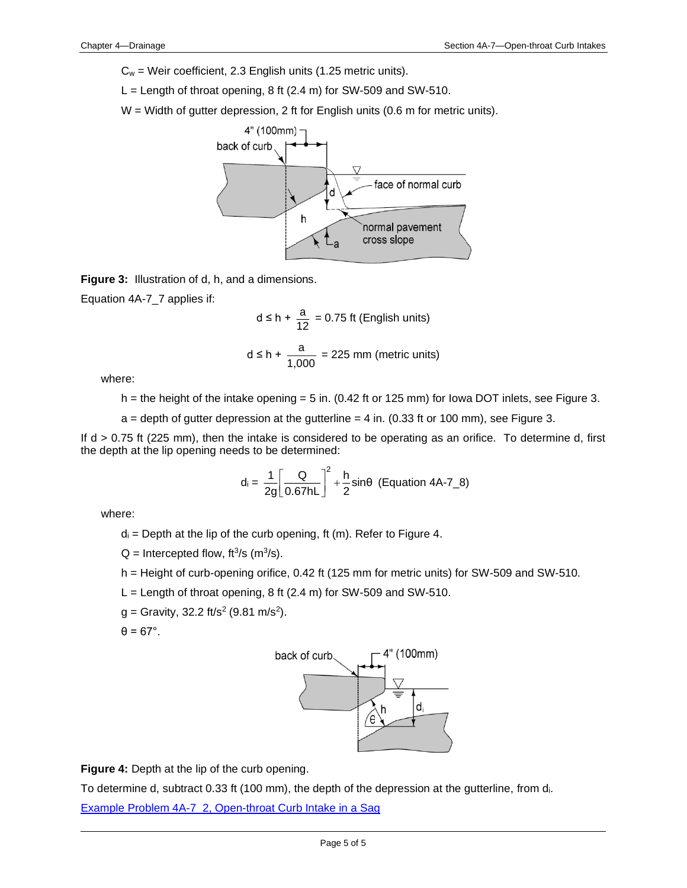$C_w$  = Weir coefficient, 2.3 English units (1.25 metric units).

 $L =$  Length of throat opening, 8 ft (2.4 m) for SW-509 and SW-510.

 $W =$  Width of gutter depression, 2 ft for English units (0.6 m for metric units).



**Figure 3:** Illustration of d, h, and a dimensions.

Equation 4A-7\_7 applies if:

$$
d \le h + \frac{a}{12} = 0.75 \text{ ft (English units)}
$$

$$
d \le h + \frac{a}{1,000} = 225 \text{ mm (metric units)}
$$

where:

h = the height of the intake opening = 5 in. (0.42 ft or 125 mm) for lowa DOT inlets, see Figure 3.

 $a =$  depth of gutter depression at the gutterline  $= 4$  in. (0.33 ft or 100 mm), see Figure 3.

If d > 0.75 ft (225 mm), then the intake is considered to be operating as an orifice. To determine d, first the depth at the lip opening needs to be determined:

$$
d_i = \frac{1}{2g} \left[ \frac{Q}{0.67 hL} \right]^2 + \frac{h}{2} \sin\theta \text{ (Equation 4A-7\_8)}
$$

where:

 $d_i$  = Depth at the lip of the curb opening, ft (m). Refer to Figure 4.

 $Q =$  Intercepted flow, ft<sup>3</sup>/s (m<sup>3</sup>/s).

- h = Height of curb-opening orifice, 0.42 ft (125 mm for metric units) for SW-509 and SW-510.
- $L =$  Length of throat opening, 8 ft (2.4 m) for SW-509 and SW-510.
- $g =$  Gravity, 32.2 ft/s<sup>2</sup> (9.81 m/s<sup>2</sup>).

 $\theta = 67^\circ$ .



**Figure 4:** Depth at the lip of the curb opening.

To determine d, subtract 0.33 ft (100 mm), the depth of the depression at the gutterline, from di.

[Example Problem 4A-7\\_2, Open-throat Curb Intake in a Sag](04a-07/Example_2_4A_7.pdf)